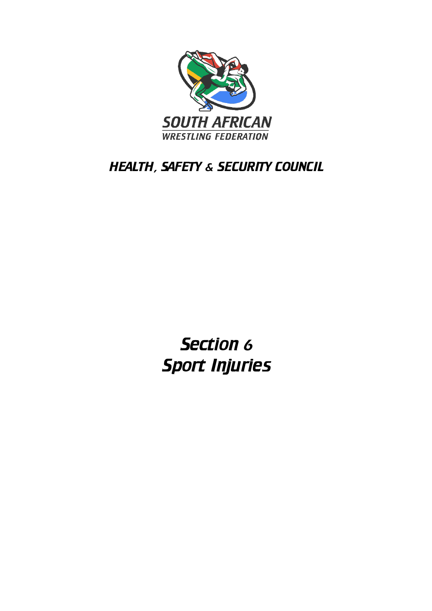

## HEALTH, SAFETY & SECURITY COUNCIL

Section 6 Sport Injuries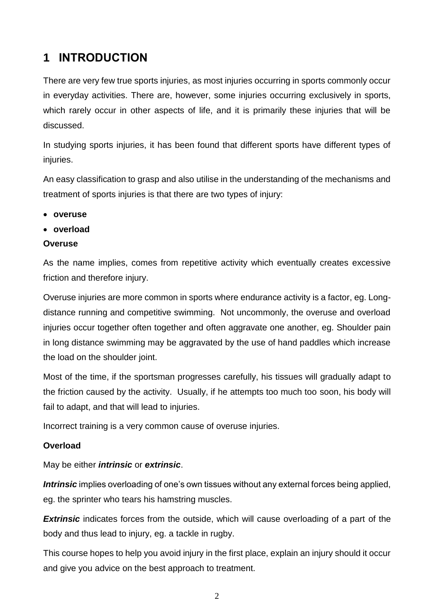## **1 INTRODUCTION**

There are very few true sports injuries, as most injuries occurring in sports commonly occur in everyday activities. There are, however, some injuries occurring exclusively in sports, which rarely occur in other aspects of life, and it is primarily these injuries that will be discussed.

In studying sports injuries, it has been found that different sports have different types of injuries.

An easy classification to grasp and also utilise in the understanding of the mechanisms and treatment of sports injuries is that there are two types of injury:

- **overuse**
- **overload**

#### **Overuse**

As the name implies, comes from repetitive activity which eventually creates excessive friction and therefore injury.

Overuse injuries are more common in sports where endurance activity is a factor, eg. Longdistance running and competitive swimming. Not uncommonly, the overuse and overload injuries occur together often together and often aggravate one another, eg. Shoulder pain in long distance swimming may be aggravated by the use of hand paddles which increase the load on the shoulder joint.

Most of the time, if the sportsman progresses carefully, his tissues will gradually adapt to the friction caused by the activity. Usually, if he attempts too much too soon, his body will fail to adapt, and that will lead to injuries.

Incorrect training is a very common cause of overuse injuries.

#### **Overload**

May be either *intrinsic* or *extrinsic*.

*Intrinsic* implies overloading of one's own tissues without any external forces being applied, eg. the sprinter who tears his hamstring muscles.

**Extrinsic** indicates forces from the outside, which will cause overloading of a part of the body and thus lead to injury, eg. a tackle in rugby.

This course hopes to help you avoid injury in the first place, explain an injury should it occur and give you advice on the best approach to treatment.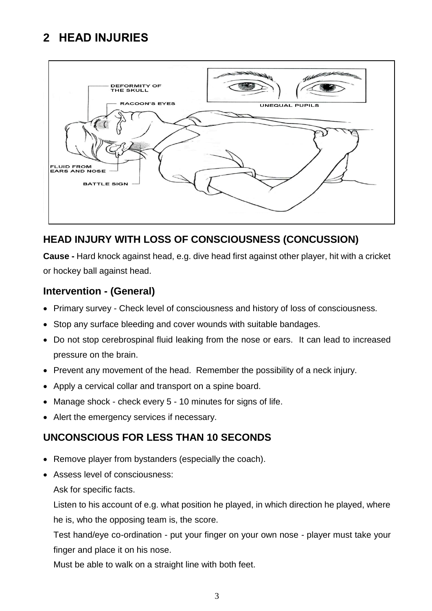## **2 HEAD INJURIES**



## **HEAD INJURY WITH LOSS OF CONSCIOUSNESS (CONCUSSION)**

**Cause -** Hard knock against head, e.g. dive head first against other player, hit with a cricket or hockey ball against head.

### **Intervention - (General)**

- Primary survey Check level of consciousness and history of loss of consciousness.
- Stop any surface bleeding and cover wounds with suitable bandages.
- Do not stop cerebrospinal fluid leaking from the nose or ears. It can lead to increased pressure on the brain.
- Prevent any movement of the head. Remember the possibility of a neck injury.
- Apply a cervical collar and transport on a spine board.
- Manage shock check every 5 10 minutes for signs of life.
- Alert the emergency services if necessary.

## **UNCONSCIOUS FOR LESS THAN 10 SECONDS**

- Remove player from bystanders (especially the coach).
- Assess level of consciousness:

Ask for specific facts.

Listen to his account of e.g. what position he played, in which direction he played, where he is, who the opposing team is, the score.

Test hand/eye co-ordination - put your finger on your own nose - player must take your finger and place it on his nose.

Must be able to walk on a straight line with both feet.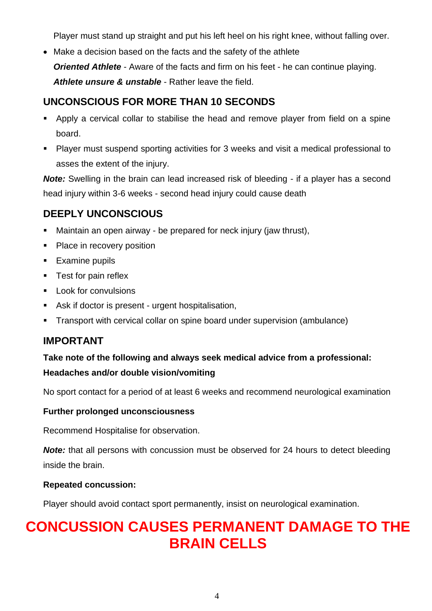Player must stand up straight and put his left heel on his right knee, without falling over.

• Make a decision based on the facts and the safety of the athlete *Oriented Athlete* - Aware of the facts and firm on his feet - he can continue playing. *Athlete unsure & unstable* - Rather leave the field.

### **UNCONSCIOUS FOR MORE THAN 10 SECONDS**

- **EXT** Apply a cervical collar to stabilise the head and remove player from field on a spine board.
- Player must suspend sporting activities for 3 weeks and visit a medical professional to asses the extent of the injury.

**Note:** Swelling in the brain can lead increased risk of bleeding - if a player has a second head injury within 3-6 weeks - second head injury could cause death

### **DEEPLY UNCONSCIOUS**

- Maintain an open airway be prepared for neck injury (jaw thrust),
- Place in recovery position
- Examine pupils
- Test for pain reflex
- Look for convulsions
- Ask if doctor is present urgent hospitalisation,
- Transport with cervical collar on spine board under supervision (ambulance)

### **IMPORTANT**

# **Take note of the following and always seek medical advice from a professional:**

#### **Headaches and/or double vision/vomiting**

No sport contact for a period of at least 6 weeks and recommend neurological examination

#### **Further prolonged unconsciousness**

Recommend Hospitalise for observation.

*Note:* that all persons with concussion must be observed for 24 hours to detect bleeding inside the brain.

#### **Repeated concussion:**

Player should avoid contact sport permanently, insist on neurological examination.

# **CONCUSSION CAUSES PERMANENT DAMAGE TO THE BRAIN CELLS**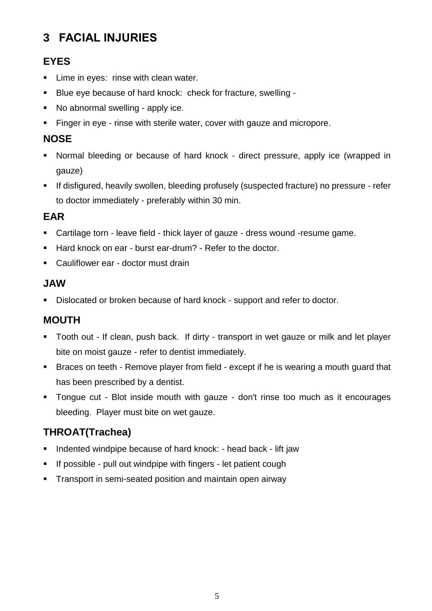## **3 FACIAL INJURIES**

## **EYES**

- **EXEC** Lime in eyes: rinse with clean water.
- Blue eye because of hard knock: check for fracture, swelling -
- No abnormal swelling apply ice.
- **Example Finger in eye rinse with sterile water, cover with gauze and micropore.**

## **NOSE**

- Normal bleeding or because of hard knock direct pressure, apply ice (wrapped in gauze)
- **EXP** If disfigured, heavily swollen, bleeding profusely (suspected fracture) no pressure refer to doctor immediately - preferably within 30 min.

## **EAR**

- Cartilage torn leave field thick layer of gauze dress wound -resume game.
- Hard knock on ear burst ear-drum? Refer to the doctor.
- Cauliflower ear doctor must drain

### **JAW**

■ Dislocated or broken because of hard knock - support and refer to doctor.

## **MOUTH**

- Tooth out If clean, push back. If dirty transport in wet gauze or milk and let player bite on moist gauze - refer to dentist immediately.
- Braces on teeth Remove player from field except if he is wearing a mouth guard that has been prescribed by a dentist.
- Tongue cut Blot inside mouth with gauze don't rinse too much as it encourages bleeding. Player must bite on wet gauze.

## **THROAT(Trachea)**

- Indented windpipe because of hard knock: head back lift jaw
- **EXECT:** If possible pull out windpipe with fingers let patient cough
- **Transport in semi-seated position and maintain open airway**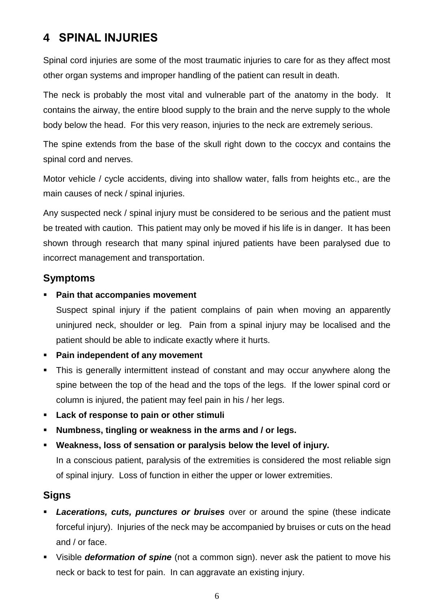## **4 SPINAL INJURIES**

Spinal cord injuries are some of the most traumatic injuries to care for as they affect most other organ systems and improper handling of the patient can result in death.

The neck is probably the most vital and vulnerable part of the anatomy in the body. It contains the airway, the entire blood supply to the brain and the nerve supply to the whole body below the head. For this very reason, injuries to the neck are extremely serious.

The spine extends from the base of the skull right down to the coccyx and contains the spinal cord and nerves.

Motor vehicle / cycle accidents, diving into shallow water, falls from heights etc., are the main causes of neck / spinal injuries.

Any suspected neck / spinal injury must be considered to be serious and the patient must be treated with caution. This patient may only be moved if his life is in danger. It has been shown through research that many spinal injured patients have been paralysed due to incorrect management and transportation.

### **Symptoms**

#### **Pain that accompanies movement**

Suspect spinal injury if the patient complains of pain when moving an apparently uninjured neck, shoulder or leg. Pain from a spinal injury may be localised and the patient should be able to indicate exactly where it hurts.

- **Pain independent of any movement**
- **•** This is generally intermittent instead of constant and may occur anywhere along the spine between the top of the head and the tops of the legs. If the lower spinal cord or column is injured, the patient may feel pain in his / her legs.
- **Lack of response to pain or other stimuli**
- Numbness, tingling or weakness in the arms and / or legs.
- **Weakness, loss of sensation or paralysis below the level of injury.**  In a conscious patient, paralysis of the extremities is considered the most reliable sign of spinal injury. Loss of function in either the upper or lower extremities.

## **Signs**

- **Lacerations, cuts, punctures or bruises** over or around the spine (these indicate forceful injury). Injuries of the neck may be accompanied by bruises or cuts on the head and / or face.
- Visible *deformation of spine* (not a common sign). never ask the patient to move his neck or back to test for pain. In can aggravate an existing injury.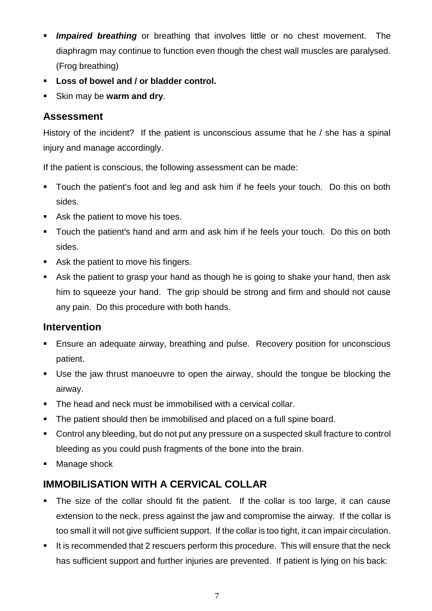- **Impaired breathing** or breathing that involves little or no chest movement. The diaphragm may continue to function even though the chest wall muscles are paralysed. (Frog breathing)
- **Loss of bowel and / or bladder control.**
- Skin may be **warm and dry**.

### **Assessment**

History of the incident? If the patient is unconscious assume that he / she has a spinal injury and manage accordingly.

If the patient is conscious, the following assessment can be made:

- Touch the patient's foot and leg and ask him if he feels your touch. Do this on both sides.
- Ask the patient to move his toes.
- Touch the patient's hand and arm and ask him if he feels your touch. Do this on both sides.
- Ask the patient to move his fingers.
- Ask the patient to grasp your hand as though he is going to shake your hand, then ask him to squeeze your hand. The grip should be strong and firm and should not cause any pain. Do this procedure with both hands.

## **Intervention**

- Ensure an adequate airway, breathing and pulse. Recovery position for unconscious patient.
- Use the jaw thrust manoeuvre to open the airway, should the tongue be blocking the airway.
- The head and neck must be immobilised with a cervical collar.
- The patient should then be immobilised and placed on a full spine board.
- Control any bleeding, but do not put any pressure on a suspected skull fracture to control bleeding as you could push fragments of the bone into the brain.
- Manage shock

## **IMMOBILISATION WITH A CERVICAL COLLAR**

- The size of the collar should fit the patient. If the collar is too large, it can cause extension to the neck. press against the jaw and compromise the airway. If the collar is too small it will not give sufficient support. If the collar is too tight, it can impair circulation.
- **E** It is recommended that 2 rescuers perform this procedure. This will ensure that the neck has sufficient support and further injuries are prevented. If patient is lying on his back: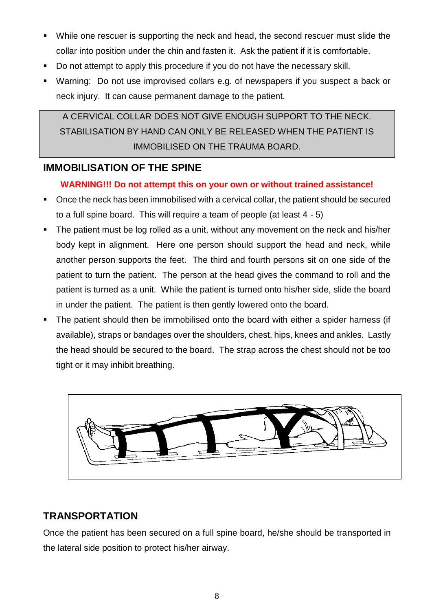- While one rescuer is supporting the neck and head, the second rescuer must slide the collar into position under the chin and fasten it. Ask the patient if it is comfortable.
- Do not attempt to apply this procedure if you do not have the necessary skill.
- Warning: Do not use improvised collars e.g. of newspapers if you suspect a back or neck injury. It can cause permanent damage to the patient.

A CERVICAL COLLAR DOES NOT GIVE ENOUGH SUPPORT TO THE NECK. STABILISATION BY HAND CAN ONLY BE RELEASED WHEN THE PATIENT IS IMMOBILISED ON THE TRAUMA BOARD.

### **IMMOBILISATION OF THE SPINE**

#### **WARNING!!! Do not attempt this on your own or without trained assistance!**

- Once the neck has been immobilised with a cervical collar, the patient should be secured to a full spine board. This will require a team of people (at least 4 - 5)
- **.** The patient must be log rolled as a unit, without any movement on the neck and his/her body kept in alignment. Here one person should support the head and neck, while another person supports the feet. The third and fourth persons sit on one side of the patient to turn the patient. The person at the head gives the command to roll and the patient is turned as a unit. While the patient is turned onto his/her side, slide the board in under the patient. The patient is then gently lowered onto the board.
- The patient should then be immobilised onto the board with either a spider harness (if available), straps or bandages over the shoulders, chest, hips, knees and ankles. Lastly the head should be secured to the board. The strap across the chest should not be too tight or it may inhibit breathing.



## **TRANSPORTATION**

Once the patient has been secured on a full spine board, he/she should be transported in the lateral side position to protect his/her airway.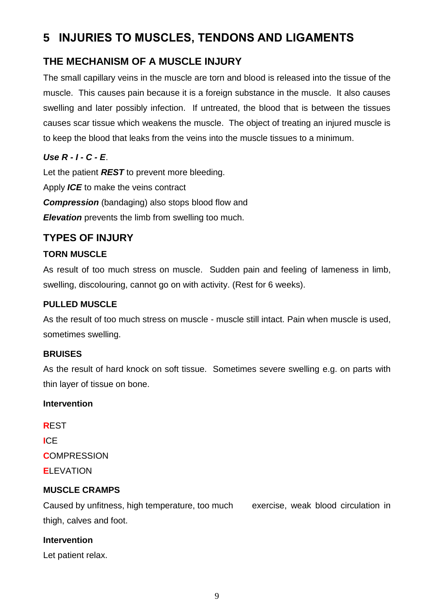## **5 INJURIES TO MUSCLES, TENDONS AND LIGAMENTS**

## **THE MECHANISM OF A MUSCLE INJURY**

The small capillary veins in the muscle are torn and blood is released into the tissue of the muscle. This causes pain because it is a foreign substance in the muscle. It also causes swelling and later possibly infection. If untreated, the blood that is between the tissues causes scar tissue which weakens the muscle. The object of treating an injured muscle is to keep the blood that leaks from the veins into the muscle tissues to a minimum.

### *Use R - I - C - E*.

Let the patient *REST* to prevent more bleeding. Apply *ICE* to make the veins contract **Compression** (bandaging) also stops blood flow and *Elevation* prevents the limb from swelling too much.

### **TYPES OF INJURY**

#### **TORN MUSCLE**

As result of too much stress on muscle. Sudden pain and feeling of lameness in limb, swelling, discolouring, cannot go on with activity. (Rest for 6 weeks).

#### **PULLED MUSCLE**

As the result of too much stress on muscle - muscle still intact. Pain when muscle is used, sometimes swelling.

#### **BRUISES**

As the result of hard knock on soft tissue. Sometimes severe swelling e.g. on parts with thin layer of tissue on bone.

#### **Intervention**

**R**EST **I**CE **C**OMPRESSION **E**LEVATION

#### **MUSCLE CRAMPS**

Caused by unfitness, high temperature, too much exercise, weak blood circulation in thigh, calves and foot.

#### **Intervention**

Let patient relax.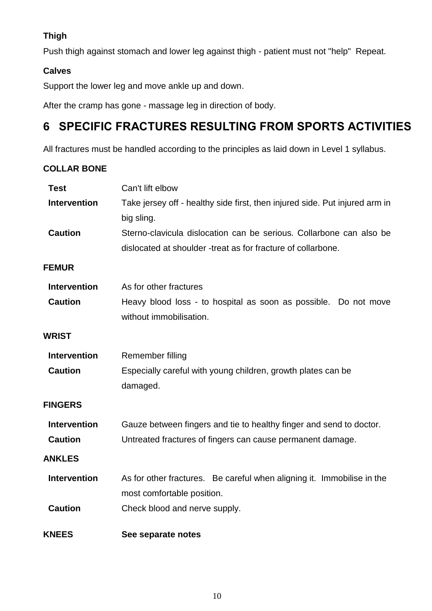### **Thigh**

Push thigh against stomach and lower leg against thigh - patient must not "help" Repeat.

#### **Calves**

Support the lower leg and move ankle up and down.

After the cramp has gone - massage leg in direction of body.

## **6 SPECIFIC FRACTURES RESULTING FROM SPORTS ACTIVITIES**

All fractures must be handled according to the principles as laid down in Level 1 syllabus.

#### **COLLAR BONE**

| <b>Test</b>         | Can't lift elbow                                                                                                                    |
|---------------------|-------------------------------------------------------------------------------------------------------------------------------------|
| <b>Intervention</b> | Take jersey off - healthy side first, then injured side. Put injured arm in<br>big sling.                                           |
| <b>Caution</b>      | Sterno-clavicula dislocation can be serious. Collarbone can also be<br>dislocated at shoulder -treat as for fracture of collarbone. |
| <b>FEMUR</b>        |                                                                                                                                     |
| <b>Intervention</b> | As for other fractures                                                                                                              |
| <b>Caution</b>      | Heavy blood loss - to hospital as soon as possible. Do not move<br>without immobilisation.                                          |
| WRIST               |                                                                                                                                     |
| <b>Intervention</b> | Remember filling                                                                                                                    |
| <b>Caution</b>      | Especially careful with young children, growth plates can be<br>damaged.                                                            |
| <b>FINGERS</b>      |                                                                                                                                     |
| <b>Intervention</b> | Gauze between fingers and tie to healthy finger and send to doctor.                                                                 |
| <b>Caution</b>      | Untreated fractures of fingers can cause permanent damage.                                                                          |
| <b>ANKLES</b>       |                                                                                                                                     |
| <b>Intervention</b> | As for other fractures. Be careful when aligning it. Immobilise in the<br>most comfortable position.                                |
| <b>Caution</b>      | Check blood and nerve supply.                                                                                                       |
| <b>KNEES</b>        | See separate notes                                                                                                                  |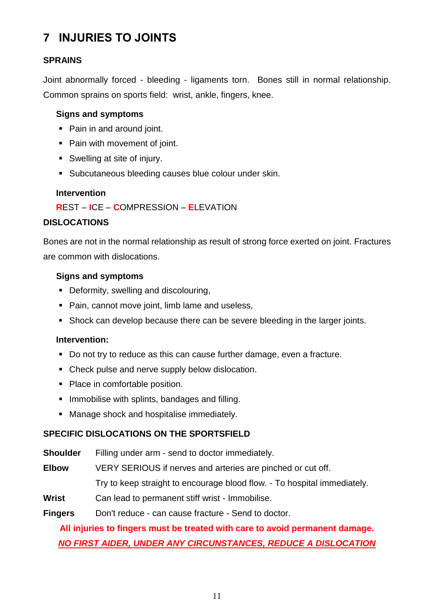## **7 INJURIES TO JOINTS**

#### **SPRAINS**

Joint abnormally forced - bleeding - ligaments torn. Bones still in normal relationship. Common sprains on sports field: wrist, ankle, fingers, knee.

#### **Signs and symptoms**

- Pain in and around joint.
- Pain with movement of joint.
- Swelling at site of injury.
- Subcutaneous bleeding causes blue colour under skin.

#### **Intervention**

#### **R**EST – **I**CE – **C**OMPRESSION – **E**LEVATION

#### **DISLOCATIONS**

Bones are not in the normal relationship as result of strong force exerted on joint. Fractures are common with dislocations.

#### **Signs and symptoms**

- Deformity, swelling and discolouring,
- Pain, cannot move joint, limb lame and useless,
- Shock can develop because there can be severe bleeding in the larger joints.

#### **Intervention:**

- Do not try to reduce as this can cause further damage, even a fracture.
- Check pulse and nerve supply below dislocation.
- Place in comfortable position.
- **.** Immobilise with splints, bandages and filling.
- Manage shock and hospitalise immediately.

#### **SPECIFIC DISLOCATIONS ON THE SPORTSFIELD**

**Shoulder** Filling under arm - send to doctor immediately.

**Elbow** VERY SERIOUS if nerves and arteries are pinched or cut off.

Try to keep straight to encourage blood flow. - To hospital immediately.

**Wrist** Can lead to permanent stiff wrist - Immobilise.

#### **Fingers** Don't reduce - can cause fracture - Send to doctor.

## **All injuries to fingers must be treated with care to avoid permanent damage.** *NO FIRST AIDER, UNDER ANY CIRCUNSTANCES, REDUCE A DISLOCATION*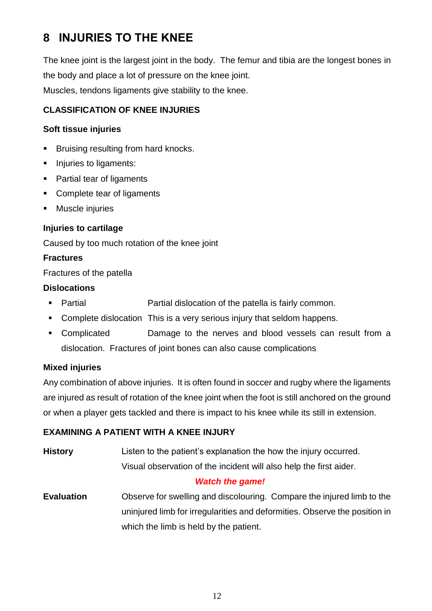## **8 INJURIES TO THE KNEE**

The knee joint is the largest joint in the body. The femur and tibia are the longest bones in the body and place a lot of pressure on the knee joint. Muscles, tendons ligaments give stability to the knee.

#### **CLASSIFICATION OF KNEE INJURIES**

#### **Soft tissue injuries**

- Bruising resulting from hard knocks.
- Injuries to ligaments:
- Partial tear of ligaments
- Complete tear of ligaments
- Muscle injuries

#### **Injuries to cartilage**

Caused by too much rotation of the knee joint

#### **Fractures**

Fractures of the patella

#### **Dislocations**

- Partial Partial dislocation of the patella is fairly common.
- Complete dislocation This is a very serious injury that seldom happens.
- Complicated Damage to the nerves and blood vessels can result from a dislocation. Fractures of joint bones can also cause complications

#### **Mixed injuries**

Any combination of above injuries. It is often found in soccer and rugby where the ligaments are injured as result of rotation of the knee joint when the foot is still anchored on the ground or when a player gets tackled and there is impact to his knee while its still in extension.

#### **EXAMINING A PATIENT WITH A KNEE INJURY**

**History** Listen to the patient's explanation the how the injury occurred. Visual observation of the incident will also help the first aider.

#### *Watch the game!*

**Evaluation** Observe for swelling and discolouring. Compare the injured limb to the uninjured limb for irregularities and deformities. Observe the position in which the limb is held by the patient.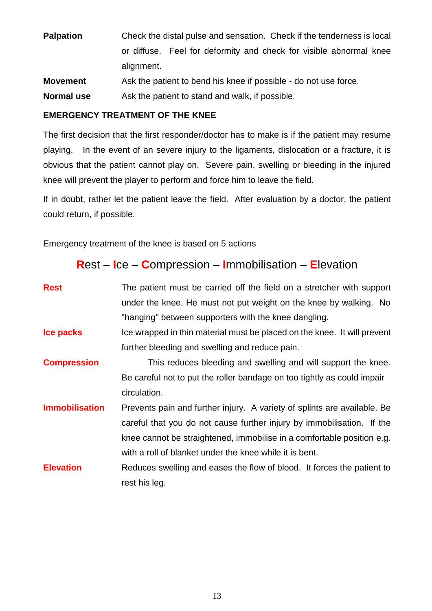**Palpation** Check the distal pulse and sensation. Check if the tenderness is local or diffuse. Feel for deformity and check for visible abnormal knee alignment.

**Movement** Ask the patient to bend his knee if possible - do not use force.

**Normal use** Ask the patient to stand and walk, if possible.

### **EMERGENCY TREATMENT OF THE KNEE**

The first decision that the first responder/doctor has to make is if the patient may resume playing. In the event of an severe injury to the ligaments, dislocation or a fracture, it is obvious that the patient cannot play on. Severe pain, swelling or bleeding in the injured knee will prevent the player to perform and force him to leave the field.

If in doubt, rather let the patient leave the field. After evaluation by a doctor, the patient could return, if possible.

Emergency treatment of the knee is based on 5 actions

## **R**est – **I**ce – **C**ompression – **I**mmobilisation – **E**levation

| <b>Rest</b>           | The patient must be carried off the field on a stretcher with support    |
|-----------------------|--------------------------------------------------------------------------|
|                       | under the knee. He must not put weight on the knee by walking. No        |
|                       | "hanging" between supporters with the knee dangling.                     |
| Ice packs             | Ice wrapped in thin material must be placed on the knee. It will prevent |
|                       | further bleeding and swelling and reduce pain.                           |
| <b>Compression</b>    | This reduces bleeding and swelling and will support the knee.            |
|                       | Be careful not to put the roller bandage on too tightly as could impair  |
|                       | circulation.                                                             |
| <b>Immobilisation</b> | Prevents pain and further injury. A variety of splints are available. Be |
|                       | careful that you do not cause further injury by immobilisation. If the   |
|                       | knee cannot be straightened, immobilise in a comfortable position e.g.   |
|                       | with a roll of blanket under the knee while it is bent.                  |
| <b>Elevation</b>      | Reduces swelling and eases the flow of blood. It forces the patient to   |
|                       | rest his leg.                                                            |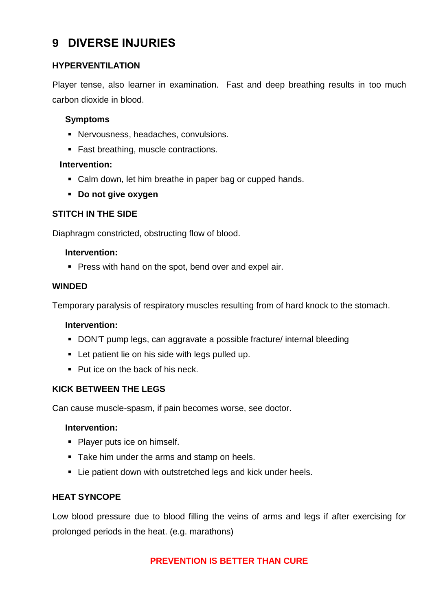## **9 DIVERSE INJURIES**

#### **HYPERVENTILATION**

Player tense, also learner in examination. Fast and deep breathing results in too much carbon dioxide in blood.

#### **Symptoms**

- Nervousness, headaches, convulsions.
- Fast breathing, muscle contractions.

#### **Intervention:**

- Calm down, let him breathe in paper bag or cupped hands.
- **Do not give oxygen**

#### **STITCH IN THE SIDE**

Diaphragm constricted, obstructing flow of blood.

#### **Intervention:**

■ Press with hand on the spot, bend over and expel air.

#### **WINDED**

Temporary paralysis of respiratory muscles resulting from of hard knock to the stomach.

#### **Intervention:**

- DON'T pump legs, can aggravate a possible fracture/ internal bleeding
- Let patient lie on his side with legs pulled up.
- Put ice on the back of his neck.

#### **KICK BETWEEN THE LEGS**

Can cause muscle-spasm, if pain becomes worse, see doctor.

#### **Intervention:**

- Player puts ice on himself.
- Take him under the arms and stamp on heels.
- Lie patient down with outstretched legs and kick under heels.

#### **HEAT SYNCOPE**

Low blood pressure due to blood filling the veins of arms and legs if after exercising for prolonged periods in the heat. (e.g. marathons)

#### **PREVENTION IS BETTER THAN CURE**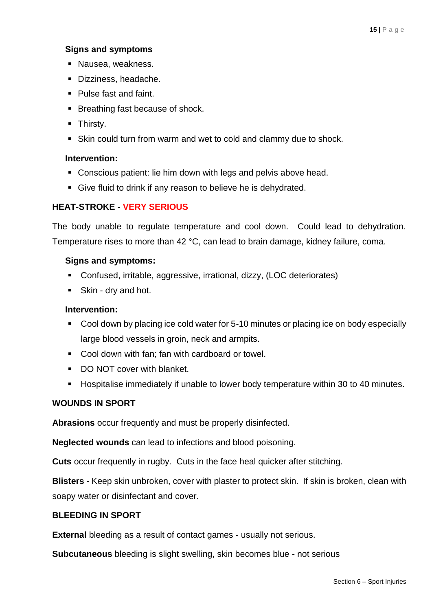#### **Signs and symptoms**

- Nausea, weakness.
- Dizziness, headache.
- Pulse fast and faint.
- Breathing fast because of shock.
- **E** Thirsty.
- Skin could turn from warm and wet to cold and clammy due to shock.

#### **Intervention:**

- Conscious patient: lie him down with legs and pelvis above head.
- Give fluid to drink if any reason to believe he is dehydrated.

#### **HEAT-STROKE - VERY SERIOUS**

The body unable to regulate temperature and cool down. Could lead to dehydration. Temperature rises to more than 42 °C, can lead to brain damage, kidney failure, coma.

#### **Signs and symptoms:**

- Confused, irritable, aggressive, irrational, dizzy, (LOC deteriorates)
- Skin dry and hot.

#### **Intervention:**

- Cool down by placing ice cold water for 5-10 minutes or placing ice on body especially large blood vessels in groin, neck and armpits.
- Cool down with fan: fan with cardboard or towel.
- DO NOT cover with blanket.
- Hospitalise immediately if unable to lower body temperature within 30 to 40 minutes.

#### **WOUNDS IN SPORT**

**Abrasions** occur frequently and must be properly disinfected.

**Neglected wounds** can lead to infections and blood poisoning.

**Cuts** occur frequently in rugby. Cuts in the face heal quicker after stitching.

**Blisters -** Keep skin unbroken, cover with plaster to protect skin. If skin is broken, clean with soapy water or disinfectant and cover.

#### **BLEEDING IN SPORT**

**External** bleeding as a result of contact games - usually not serious.

**Subcutaneous** bleeding is slight swelling, skin becomes blue - not serious